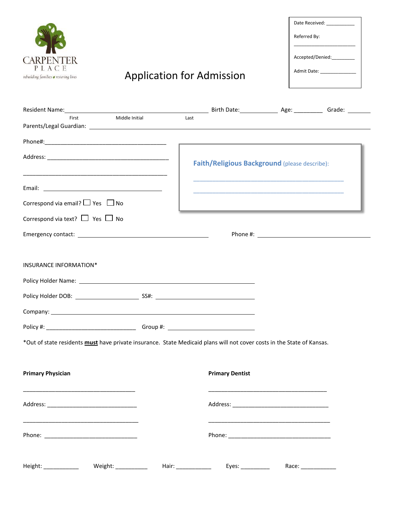

## Application for Admission

| Date Received:                 |
|--------------------------------|
| Referred By:                   |
| Accepted/Denied:               |
| Admit Date: <u>___________</u> |
|                                |

| Resident Name: Grade: Communication of Birth Date: Communication and Age: Communication of Grade: Communication        |      |                                                                                                                       |  |
|------------------------------------------------------------------------------------------------------------------------|------|-----------------------------------------------------------------------------------------------------------------------|--|
| Middle Initial<br>First                                                                                                | Last |                                                                                                                       |  |
|                                                                                                                        |      |                                                                                                                       |  |
|                                                                                                                        |      |                                                                                                                       |  |
|                                                                                                                        |      |                                                                                                                       |  |
|                                                                                                                        |      | Faith/Religious Background (please describe):                                                                         |  |
|                                                                                                                        |      | <u> 1980 - Johann Stoff, amerikansk politiker (d. 1980)</u>                                                           |  |
|                                                                                                                        |      | <u> 1990 - Johann John Stone, markin film yn y brening yn y brening yn y brening yn y brening yn y brening yn y b</u> |  |
| Correspond via email? $\Box$ Yes $\Box$ No                                                                             |      |                                                                                                                       |  |
| Correspond via text? $\Box$ Yes $\Box$ No                                                                              |      |                                                                                                                       |  |
|                                                                                                                        |      |                                                                                                                       |  |
|                                                                                                                        |      |                                                                                                                       |  |
| INSURANCE INFORMATION*                                                                                                 |      |                                                                                                                       |  |
|                                                                                                                        |      |                                                                                                                       |  |
|                                                                                                                        |      |                                                                                                                       |  |
|                                                                                                                        |      |                                                                                                                       |  |
|                                                                                                                        |      |                                                                                                                       |  |
|                                                                                                                        |      |                                                                                                                       |  |
| *Out of state residents must have private insurance. State Medicaid plans will not cover costs in the State of Kansas. |      |                                                                                                                       |  |
|                                                                                                                        |      |                                                                                                                       |  |
|                                                                                                                        |      |                                                                                                                       |  |
| <b>Primary Physician</b>                                                                                               |      | <b>Primary Dentist</b>                                                                                                |  |
|                                                                                                                        |      |                                                                                                                       |  |
|                                                                                                                        |      |                                                                                                                       |  |
|                                                                                                                        |      |                                                                                                                       |  |
|                                                                                                                        |      |                                                                                                                       |  |
|                                                                                                                        |      |                                                                                                                       |  |
|                                                                                                                        |      |                                                                                                                       |  |

Height: \_\_\_\_\_\_\_\_\_\_\_ Weight: \_\_\_\_\_\_\_\_\_\_ Hair: \_\_\_\_\_\_\_\_\_\_\_ Eyes: \_\_\_\_\_\_\_\_\_ Race: \_\_\_\_\_\_\_\_\_\_\_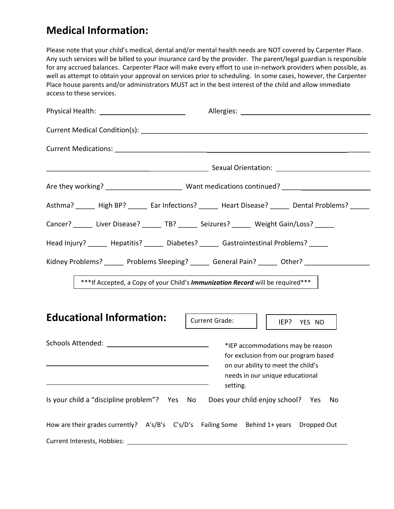#### **Medical Information:**

Please note that your child's medical, dental and/or mental health needs are NOT covered by Carpenter Place. Any such services will be billed to your insurance card by the provider. The parent/legal guardian is responsible for any accrued balances. Carpenter Place will make every effort to use in-network providers when possible, as well as attempt to obtain your approval on services prior to scheduling. In some cases, however, the Carpenter Place house parents and/or administrators MUST act in the best interest of the child and allow immediate access to these services.

| Physical Health: _____________________________                                                  |                                                                                                                                                                |  |  |  |  |
|-------------------------------------------------------------------------------------------------|----------------------------------------------------------------------------------------------------------------------------------------------------------------|--|--|--|--|
|                                                                                                 |                                                                                                                                                                |  |  |  |  |
|                                                                                                 |                                                                                                                                                                |  |  |  |  |
|                                                                                                 |                                                                                                                                                                |  |  |  |  |
|                                                                                                 |                                                                                                                                                                |  |  |  |  |
|                                                                                                 | Asthma? _____ High BP? _____ Ear Infections? _____ Heart Disease? _____ Dental Problems? _____                                                                 |  |  |  |  |
| Cancer? ______ Liver Disease? ______ TB? ______ Seizures? ______ Weight Gain/Loss? _____        |                                                                                                                                                                |  |  |  |  |
| Head Injury? ______ Hepatitis? ______ Diabetes? ______ Gastrointestinal Problems? _____         |                                                                                                                                                                |  |  |  |  |
|                                                                                                 | Kidney Problems? ______ Problems Sleeping? _____ General Pain? _____ Other? _______________________                                                            |  |  |  |  |
| *** If Accepted, a Copy of your Child's Immunization Record will be required***                 |                                                                                                                                                                |  |  |  |  |
| <b>Educational Information:</b>                                                                 | <b>Current Grade:</b><br>IEP?<br>YES NO                                                                                                                        |  |  |  |  |
| <u> 1989 - Andrea Andrew Maria (h. 1989).</u><br><u> 1980 - Johann Stein, marwolaethau a bh</u> | *IEP accommodations may be reason<br>for exclusion from our program based<br>on our ability to meet the child's<br>needs in our unique educational<br>setting. |  |  |  |  |
| Is your child a "discipline problem"? Yes No Does your child enjoy school? Yes                  | No                                                                                                                                                             |  |  |  |  |
| How are their grades currently? A's/B's C's/D's Failing Some Behind 1+ years Dropped Out        |                                                                                                                                                                |  |  |  |  |
|                                                                                                 |                                                                                                                                                                |  |  |  |  |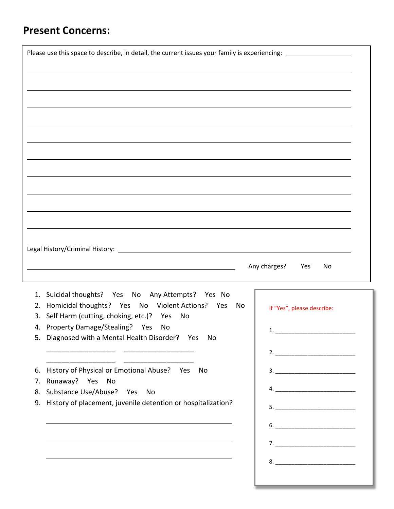### **Present Concerns:**

| Please use this space to describe, in detail, the current issues your family is experiencing: ________________                                                                                                                |                                                                                                                                                                                                                                                                                                                                                                                                                                                                                                                                          |
|-------------------------------------------------------------------------------------------------------------------------------------------------------------------------------------------------------------------------------|------------------------------------------------------------------------------------------------------------------------------------------------------------------------------------------------------------------------------------------------------------------------------------------------------------------------------------------------------------------------------------------------------------------------------------------------------------------------------------------------------------------------------------------|
|                                                                                                                                                                                                                               |                                                                                                                                                                                                                                                                                                                                                                                                                                                                                                                                          |
|                                                                                                                                                                                                                               |                                                                                                                                                                                                                                                                                                                                                                                                                                                                                                                                          |
|                                                                                                                                                                                                                               |                                                                                                                                                                                                                                                                                                                                                                                                                                                                                                                                          |
|                                                                                                                                                                                                                               |                                                                                                                                                                                                                                                                                                                                                                                                                                                                                                                                          |
|                                                                                                                                                                                                                               |                                                                                                                                                                                                                                                                                                                                                                                                                                                                                                                                          |
|                                                                                                                                                                                                                               |                                                                                                                                                                                                                                                                                                                                                                                                                                                                                                                                          |
|                                                                                                                                                                                                                               |                                                                                                                                                                                                                                                                                                                                                                                                                                                                                                                                          |
|                                                                                                                                                                                                                               |                                                                                                                                                                                                                                                                                                                                                                                                                                                                                                                                          |
|                                                                                                                                                                                                                               |                                                                                                                                                                                                                                                                                                                                                                                                                                                                                                                                          |
|                                                                                                                                                                                                                               |                                                                                                                                                                                                                                                                                                                                                                                                                                                                                                                                          |
|                                                                                                                                                                                                                               |                                                                                                                                                                                                                                                                                                                                                                                                                                                                                                                                          |
|                                                                                                                                                                                                                               |                                                                                                                                                                                                                                                                                                                                                                                                                                                                                                                                          |
|                                                                                                                                                                                                                               |                                                                                                                                                                                                                                                                                                                                                                                                                                                                                                                                          |
|                                                                                                                                                                                                                               |                                                                                                                                                                                                                                                                                                                                                                                                                                                                                                                                          |
|                                                                                                                                                                                                                               |                                                                                                                                                                                                                                                                                                                                                                                                                                                                                                                                          |
|                                                                                                                                                                                                                               |                                                                                                                                                                                                                                                                                                                                                                                                                                                                                                                                          |
|                                                                                                                                                                                                                               | Any charges?<br>Yes<br>No                                                                                                                                                                                                                                                                                                                                                                                                                                                                                                                |
|                                                                                                                                                                                                                               |                                                                                                                                                                                                                                                                                                                                                                                                                                                                                                                                          |
|                                                                                                                                                                                                                               |                                                                                                                                                                                                                                                                                                                                                                                                                                                                                                                                          |
| Suicidal thoughts? Yes No Any Attempts? Yes No<br>1.<br>Homicidal thoughts? Yes No Violent Actions? Yes<br>No<br>2.                                                                                                           |                                                                                                                                                                                                                                                                                                                                                                                                                                                                                                                                          |
| Self Harm (cutting, choking, etc.)? Yes<br>No<br>3.                                                                                                                                                                           | If "Yes", please describe:                                                                                                                                                                                                                                                                                                                                                                                                                                                                                                               |
| 4. Property Damage/Stealing? Yes<br>No                                                                                                                                                                                        |                                                                                                                                                                                                                                                                                                                                                                                                                                                                                                                                          |
| 5. Diagnosed with a Mental Health Disorder? Yes No                                                                                                                                                                            | $\begin{array}{c} \n \textbf{1.} \quad \textbf{---} \quad \textbf{---} \quad \textbf{---} \quad \textbf{---} \quad \textbf{---} \quad \textbf{---} \quad \textbf{---} \quad \textbf{---} \quad \textbf{---} \quad \textbf{---} \quad \textbf{---} \quad \textbf{---} \quad \textbf{---} \quad \textbf{---} \quad \textbf{---} \quad \textbf{---} \quad \textbf{---} \quad \textbf{---} \quad \textbf{---} \quad \textbf{---} \quad \textbf{---} \quad \textbf{---} \quad \textbf{---} \quad \textbf{---} \quad \textbf{---} \quad \text$ |
|                                                                                                                                                                                                                               |                                                                                                                                                                                                                                                                                                                                                                                                                                                                                                                                          |
|                                                                                                                                                                                                                               |                                                                                                                                                                                                                                                                                                                                                                                                                                                                                                                                          |
| History of Physical or Emotional Abuse? Yes No<br>6.<br>7.                                                                                                                                                                    |                                                                                                                                                                                                                                                                                                                                                                                                                                                                                                                                          |
| Runaway? Yes No<br>Substance Use/Abuse? Yes No<br>8.                                                                                                                                                                          |                                                                                                                                                                                                                                                                                                                                                                                                                                                                                                                                          |
| History of placement, juvenile detention or hospitalization?<br>9.                                                                                                                                                            |                                                                                                                                                                                                                                                                                                                                                                                                                                                                                                                                          |
|                                                                                                                                                                                                                               | $5. \_$                                                                                                                                                                                                                                                                                                                                                                                                                                                                                                                                  |
|                                                                                                                                                                                                                               |                                                                                                                                                                                                                                                                                                                                                                                                                                                                                                                                          |
| <u> 1989 - Johann Barn, amerikan bernama di sebagai bernama di sebagai bernama di sebagai bernama di sebagai ber</u>                                                                                                          |                                                                                                                                                                                                                                                                                                                                                                                                                                                                                                                                          |
| the control of the control of the control of the control of the control of the control of the control of the control of the control of the control of the control of the control of the control of the control of the control |                                                                                                                                                                                                                                                                                                                                                                                                                                                                                                                                          |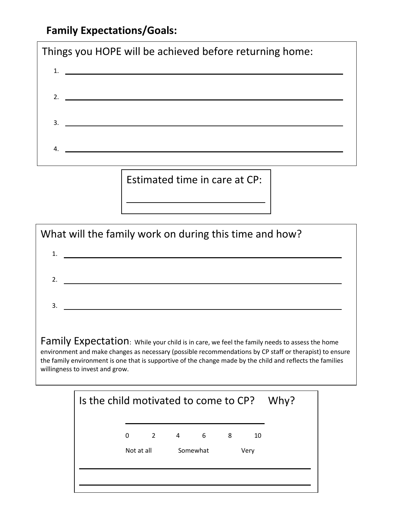### **Family Expectations/Goals:**



Estimated time in care at CP:



| Is the child motivated to come to CP? Why? |            |   |   |          |   |      |  |
|--------------------------------------------|------------|---|---|----------|---|------|--|
|                                            | 0          | 2 | 4 | 6        | 8 | 10   |  |
|                                            | Not at all |   |   | Somewhat |   | Very |  |
|                                            |            |   |   |          |   |      |  |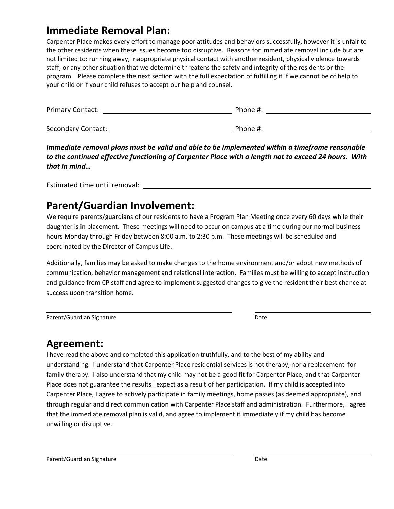#### **Immediate Removal Plan:**

Carpenter Place makes every effort to manage poor attitudes and behaviors successfully, however it is unfair to the other residents when these issues become too disruptive. Reasons for immediate removal include but are not limited to: running away, inappropriate physical contact with another resident, physical violence towards staff, or any other situation that we determine threatens the safety and integrity of the residents or the program. Please complete the next section with the full expectation of fulfilling it if we cannot be of help to your child or if your child refuses to accept our help and counsel.

| <b>Primary Contact:</b> | Phone #: |
|-------------------------|----------|
|                         |          |
| Secondary Contact:      | Phone #: |

*Immediate removal plans must be valid and able to be implemented within a timeframe reasonable to the continued effective functioning of Carpenter Place with a length not to exceed 24 hours. With that in mind…*

Estimated time until removal:

#### **Parent/Guardian Involvement:**

We require parents/guardians of our residents to have a Program Plan Meeting once every 60 days while their daughter is in placement. These meetings will need to occur on campus at a time during our normal business hours Monday through Friday between 8:00 a.m. to 2:30 p.m. These meetings will be scheduled and coordinated by the Director of Campus Life.

Additionally, families may be asked to make changes to the home environment and/or adopt new methods of communication, behavior management and relational interaction. Families must be willing to accept instruction and guidance from CP staff and agree to implement suggested changes to give the resident their best chance at success upon transition home.

Parent/Guardian Signature Date Date

#### **Agreement:**

I have read the above and completed this application truthfully, and to the best of my ability and understanding. I understand that Carpenter Place residential services is not therapy, nor a replacement for family therapy. I also understand that my child may not be a good fit for Carpenter Place, and that Carpenter Place does not guarantee the results I expect as a result of her participation. If my child is accepted into Carpenter Place, I agree to actively participate in family meetings, home passes (as deemed appropriate), and through regular and direct communication with Carpenter Place staff and administration. Furthermore, I agree that the immediate removal plan is valid, and agree to implement it immediately if my child has become unwilling or disruptive.